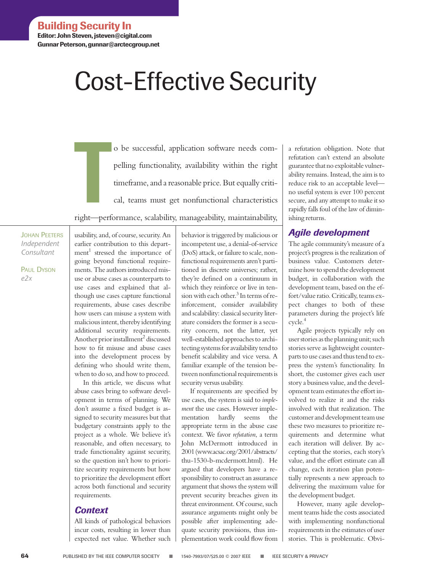Cost-Effective Security

**T** o be successful, application software needs compelling functionality, availability within the right timeframe, and a reasonable price. But equally critical, teams must get nonfunctional characteristics right—performance, scalability, manageability, maintainability,

JOHAN PEETERS *Independent Consultant*

PAUL DYSON *e2x*

usability, and, of course, security. An earlier contribution to this department<sup>1</sup> stressed the importance of going beyond functional requirements. The authors introduced misuse or abuse cases as counterparts to use cases and explained that although use cases capture functional requirements, abuse cases describe how users can misuse a system with malicious intent, thereby identifying additional security requirements. Another prior installment<sup>2</sup> discussed how to fit misuse and abuse cases into the development process by defining who should write them, when to do so, and how to proceed.

In this article, we discuss what abuse cases bring to software development in terms of planning. We don't assume a fixed budget is assigned to security measures but that budgetary constraints apply to the project as a whole. We believe it's reasonable, and often necessary, to trade functionality against security, so the question isn't how to prioritize security requirements but how to prioritize the development effort across both functional and security requirements.

#### *Context*

All kinds of pathological behaviors incur costs, resulting in lower than expected net value. Whether such

behavior is triggered by malicious or incompetent use, a denial-of-service (DoS) attack, or failure to scale, nonfunctional requirements aren't partitioned in discrete universes; rather, they're defined on a continuum in which they reinforce or live in tension with each other. $3$  In terms of reinforcement, consider availability and scalability: classical security literature considers the former is a security concern, not the latter, yet well-established approaches to architecting systems for availability tend to benefit scalability and vice versa. A familiar example of the tension between nonfunctional requirements is security versus usability.

If requirements are specified by use cases, the system is said to *implement* the use cases. However implementation hardly seems the appropriate term in the abuse case context. We favor *refutation*, a term John McDermott introduced in 2001 (www.acsac.org/2001/abstracts/ thu-1530-b-mcdermott.html). He argued that developers have a responsibility to construct an assurance argument that shows the system will prevent security breaches given its threat environment. Of course, such assurance arguments might only be possible after implementing adequate security provisions, thus implementation work could flow from

a refutation obligation. Note that refutation can't extend an absolute guarantee that no exploitable vulnerability remains. Instead, the aim is to reduce risk to an acceptable level no useful system is ever 100 percent secure, and any attempt to make it so rapidly falls foul of the law of diminishing returns.

### *Agile development*

The agile community's measure of a project's progress is the realization of business value. Customers determine how to spend the development budget, in collaboration with the development team, based on the effort/value ratio. Critically, teams expect changes to both of these parameters during the project's life cycle.4

Agile projects typically rely on user stories as the planning unit; such stories serve as lightweight counterparts to use cases and thus tend to express the system's functionality. In short, the customer gives each user story a business value, and the development team estimates the effort involved to realize it and the risks involved with that realization. The customer and development team use these two measures to prioritize requirements and determine what each iteration will deliver. By accepting that the stories, each story's value, and the effort estimate can all change, each iteration plan potentially represents a new approach to delivering the maximum value for the development budget.

However, many agile development teams hide the costs associated with implementing nonfunctional requirements in the estimates of user stories. This is problematic. Obvi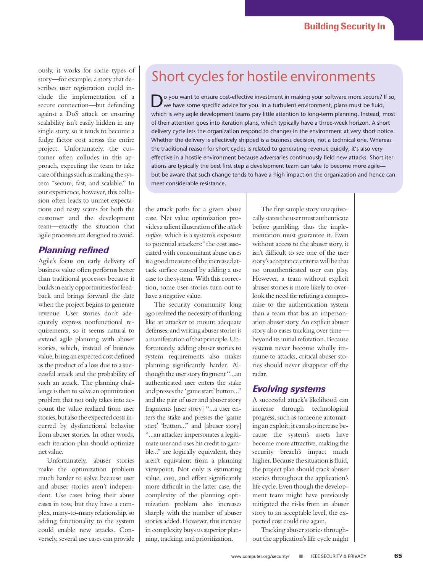ously, it works for some types of story—for example, a story that describes user registration could include the implementation of a secure connection—but defending against a DoS attack or ensuring scalability isn't easily hidden in any single story, so it tends to become a fudge factor cost across the entire project. Unfortunately, the customer often colludes in this approach, expecting the team to take care of things such as making the system "secure, fast, and scalable." In our experience, however, this collusion often leads to unmet expectations and nasty scares for both the customer and the development team—exactly the situation that agile processes are designed to avoid.

### *Planning refined*

Agile's focus on early delivery of business value often performs better than traditional processes because it builds in early opportunities for feedback and brings forward the date when the project begins to generate revenue. User stories don't adequately express nonfunctional requirements, so it seems natural to extend agile planning with abuser stories, which, instead of business value, bring an expected cost defined as the product of a loss due to a successful attack and the probability of such an attack. The planning challenge is then to solve an optimization problem that not only takes into account the value realized from user stories, but also the expected costs incurred by dysfunctional behavior from abuser stories. In other words, each iteration plan should optimize net value.

Unfortunately, abuser stories make the optimization problem much harder to solve because user and abuser stories aren't independent. Use cases bring their abuse cases in tow, but they have a complex, many-to-many relationship, so adding functionality to the system could enable new attacks. Conversely, several use cases can provide

# Short cycles for hostile environments

o you want to ensure cost-effective investment in making your software more secure? If so, we have some specific advice for you. In a turbulent environment, plans must be fluid, which is why agile development teams pay little attention to long-term planning. Instead, most of their attention goes into iteration plans, which typically have a three-week horizon. A short delivery cycle lets the organization respond to changes in the environment at very short notice. Whether the delivery is effectively shipped is a business decision, not a technical one. Whereas the traditional reason for short cycles is related to generating revenue quickly, it's also very effective in a hostile environment because adversaries continuously field new attacks. Short iterations are typically the best first step a development team can take to become more agile but be aware that such change tends to have a high impact on the organization and hence can meet considerable resistance.

the attack paths for a given abuse case. Net value optimization provides a salient illustration of the *attack surface*, which is a system's exposure to potential attackers:<sup>5</sup> the cost associated with concomitant abuse cases is a good measure of the increased attack surface caused by adding a use case to the system. With this correction, some user stories turn out to have a negative value.

The security community long ago realized the necessity of thinking like an attacker to mount adequate defenses, and writing abuser stories is a manifestation of that principle. Unfortunately, adding abuser stories to system requirements also makes planning significantly harder. Although the user story fragment "...an authenticated user enters the stake and presses the 'game start' button..." and the pair of user and abuser story fragments [user story] "...a user enters the stake and presses the 'game start' 'button..." and [abuser story] "...an attacker impersonates a legitimate user and uses his credit to gamble..." are logically equivalent, they aren't equivalent from a planning viewpoint. Not only is estimating value, cost, and effort significantly more difficult in the latter case, the complexity of the planning optimization problem also increases sharply with the number of abuser stories added. However, this increase in complexity buys us superior planning, tracking, and prioritization.

The first sample story unequivocally states the user must authenticate before gambling, thus the implementation must guarantee it. Even without access to the abuser story, it isn't difficult to see one of the user story's acceptance criteria will be that no unauthenticated user can play. However, a team without explicit abuser stories is more likely to overlook the need for refuting a compromise to the authentication system than a team that has an impersonation abuser story. An explicit abuser story also eases tracking over time beyond its initial refutation. Because systems never become wholly immune to attacks, critical abuser stories should never disappear off the radar.

## *Evolving systems*

A successful attack's likelihood can increase through technological progress, such as someone automating an exploit; it can also increase because the system's assets have become more attractive, making the security breach's impact much higher. Because the situation is fluid, the project plan should track abuser stories throughout the application's life cycle. Even though the development team might have previously mitigated the risks from an abuser story to an acceptable level, the expected cost could rise again.

Tracking abuser stories throughout the application's life cycle might